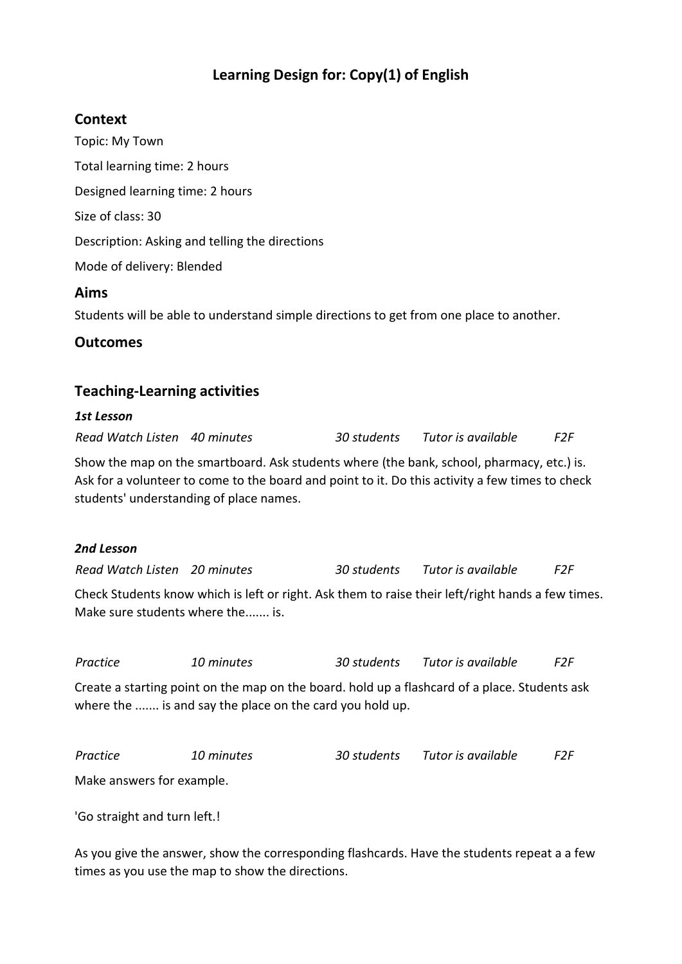## **Learning Design for: Copy(1) of English**

## **Context**

Topic: My Town Total learning time: 2 hours Designed learning time: 2 hours Size of class: 30 Description: Asking and telling the directions Mode of delivery: Blended **Aims** Students will be able to understand simple directions to get from one place to another.

### **Outcomes**

## **Teaching-Learning activities**

#### *1st Lesson*

*Read Watch Listen 40 minutes 30 students Tutor is available F2F*

Show the map on the smartboard. Ask students where (the bank, school, pharmacy, etc.) is. Ask for a volunteer to come to the board and point to it. Do this activity a few times to check students' understanding of place names.

#### *2nd Lesson*

*Read Watch Listen 20 minutes 30 students Tutor is available F2F*

Check Students know which is left or right. Ask them to raise their left/right hands a few times. Make sure students where the....... is.

*Practice 10 minutes 30 students Tutor is available F2F*

Create a starting point on the map on the board. hold up a flashcard of a place. Students ask where the ....... is and say the place on the card you hold up.

| Practice | 10 minutes | 30 students | Tutor is available | F2F. |
|----------|------------|-------------|--------------------|------|
|          |            |             |                    |      |

Make answers for example.

'Go straight and turn left.!

As you give the answer, show the corresponding flashcards. Have the students repeat a a few times as you use the map to show the directions.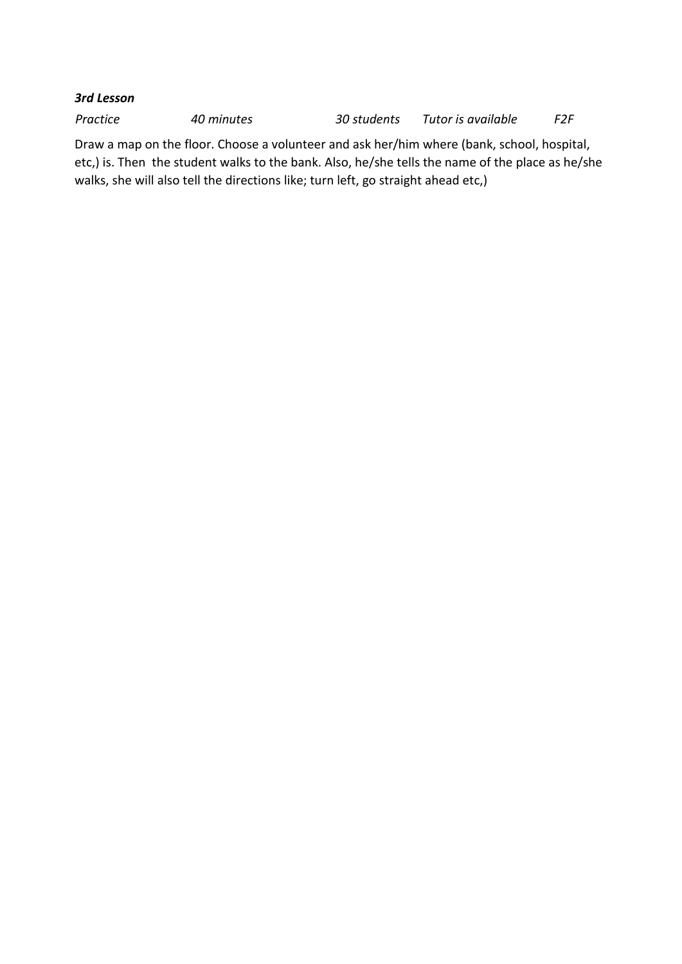#### *3rd Lesson*

*Practice 40 minutes 30 students Tutor is available F2F*

Draw a map on the floor. Choose a volunteer and ask her/him where (bank, school, hospital, etc,) is. Then the student walks to the bank. Also, he/she tells the name of the place as he/she walks, she will also tell the directions like; turn left, go straight ahead etc,)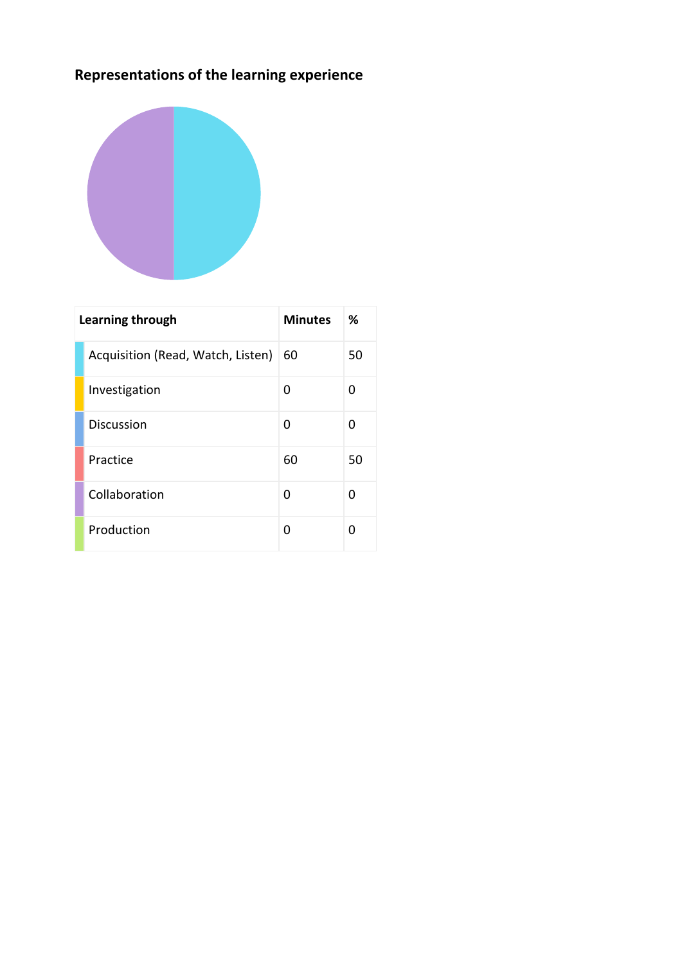# **Representations of the learning experience**



| Learning through |                                   | <b>Minutes</b> | ℅  |
|------------------|-----------------------------------|----------------|----|
|                  | Acquisition (Read, Watch, Listen) | 60             | 50 |
|                  | Investigation                     | O              | O  |
|                  | Discussion                        | 0              | 0  |
|                  | Practice                          | 60             | 50 |
|                  | Collaboration                     | O              | O  |
|                  | Production                        | U              | ŋ  |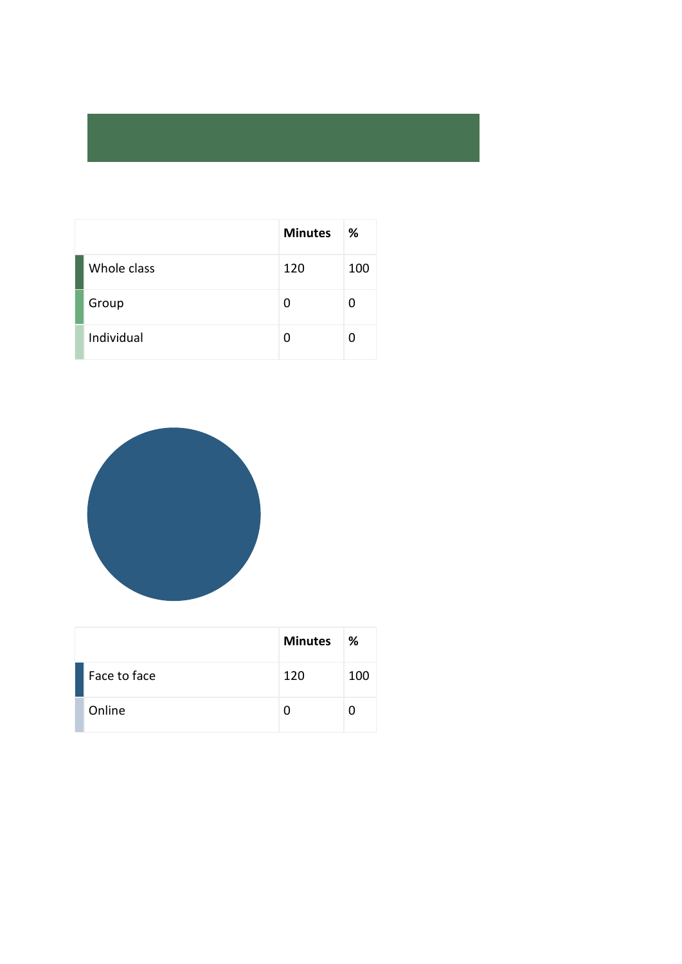|             | <b>Minutes</b> | ℅   |
|-------------|----------------|-----|
| Whole class | 120            | 100 |
| Group       | 0              | n   |
| Individual  | U              |     |



|              | <b>Minutes</b> | ℅   |
|--------------|----------------|-----|
| Face to face | 120            | 100 |
| Online       |                |     |